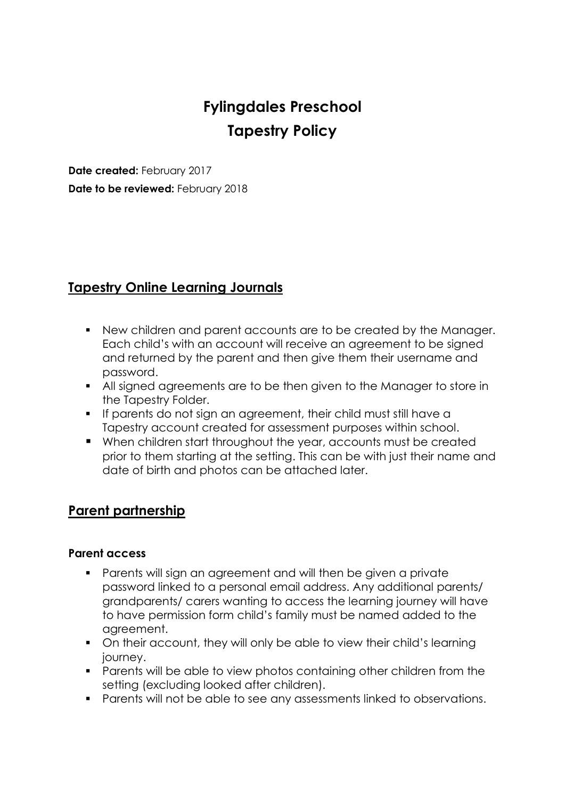# **Fylingdales Preschool Tapestry Policy**

**Date created:** February 2017 **Date to be reviewed:** February 2018

# **Tapestry Online Learning Journals**

- New children and parent accounts are to be created by the Manager. Each child's with an account will receive an agreement to be signed and returned by the parent and then give them their username and password.
- All signed agreements are to be then given to the Manager to store in the Tapestry Folder.
- If parents do not sign an agreement, their child must still have a Tapestry account created for assessment purposes within school.
- When children start throughout the year, accounts must be created prior to them starting at the setting. This can be with just their name and date of birth and photos can be attached later.

# **Parent partnership**

#### **Parent access**

- Parents will sign an agreement and will then be given a private password linked to a personal email address. Any additional parents/ grandparents/ carers wanting to access the learning journey will have to have permission form child's family must be named added to the agreement.
- On their account, they will only be able to view their child's learning journey.
- **Parents will be able to view photos containing other children from the** setting (excluding looked after children).
- Parents will not be able to see any assessments linked to observations.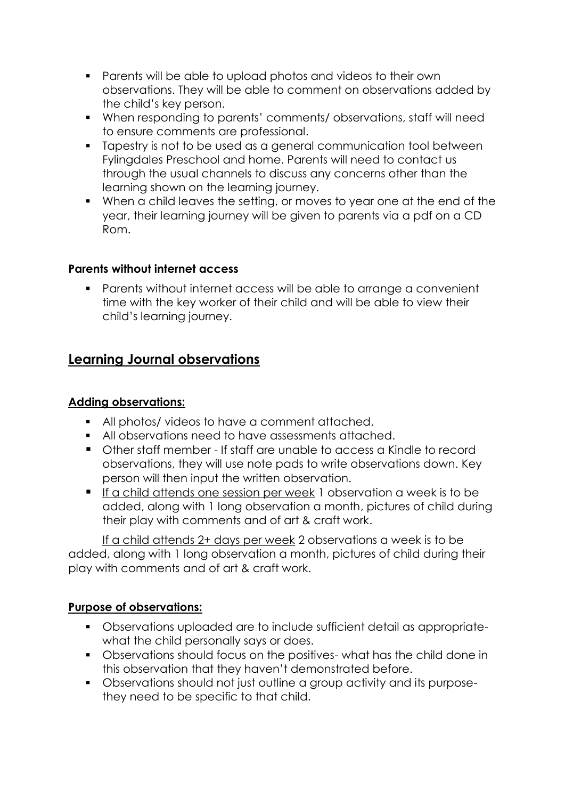- **•** Parents will be able to upload photos and videos to their own observations. They will be able to comment on observations added by the child's key person.
- When responding to parents' comments/ observations, staff will need to ensure comments are professional.
- Tapestry is not to be used as a general communication tool between Fylingdales Preschool and home. Parents will need to contact us through the usual channels to discuss any concerns other than the learning shown on the learning journey.
- When a child leaves the setting, or moves to year one at the end of the year, their learning journey will be given to parents via a pdf on a CD Rom.

#### **Parents without internet access**

 Parents without internet access will be able to arrange a convenient time with the key worker of their child and will be able to view their child's learning journey.

## **Learning Journal observations**

#### **Adding observations:**

- All photos/ videos to have a comment attached.
- All observations need to have assessments attached.
- Other staff member If staff are unable to access a Kindle to record observations, they will use note pads to write observations down. Key person will then input the written observation.
- If a child attends one session per week 1 observation a week is to be added, along with 1 long observation a month, pictures of child during their play with comments and of art & craft work.

If a child attends 2+ days per week 2 observations a week is to be added, along with 1 long observation a month, pictures of child during their play with comments and of art & craft work.

#### **Purpose of observations:**

- Observations uploaded are to include sufficient detail as appropriatewhat the child personally says or does.
- Observations should focus on the positives- what has the child done in this observation that they haven't demonstrated before.
- Observations should not just outline a group activity and its purposethey need to be specific to that child.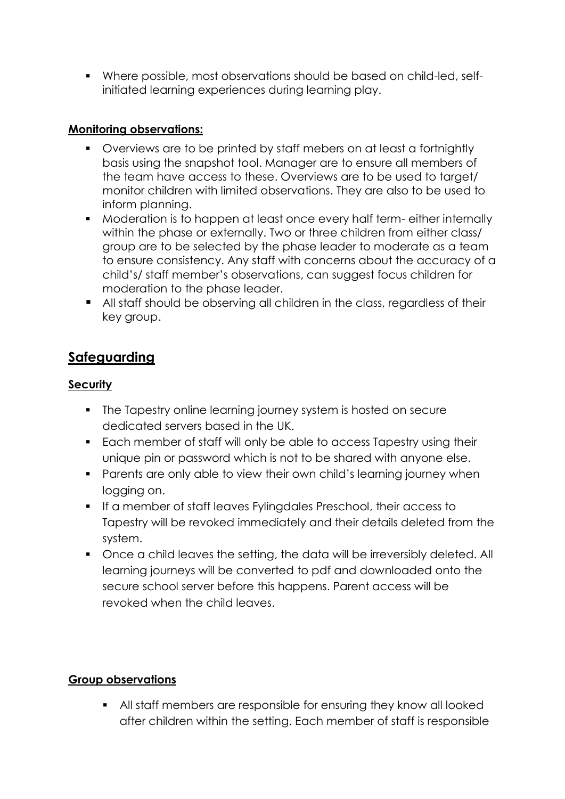Where possible, most observations should be based on child-led, selfinitiated learning experiences during learning play.

#### **Monitoring observations:**

- Overviews are to be printed by staff mebers on at least a fortnightly basis using the snapshot tool. Manager are to ensure all members of the team have access to these. Overviews are to be used to target/ monitor children with limited observations. They are also to be used to inform planning.
- Moderation is to happen at least once every half term- either internally within the phase or externally. Two or three children from either class/ group are to be selected by the phase leader to moderate as a team to ensure consistency. Any staff with concerns about the accuracy of a child's/ staff member's observations, can suggest focus children for moderation to the phase leader.
- All staff should be observing all children in the class, regardless of their key group.

# **Safeguarding**

### **Security**

- The Tapestry online learning journey system is hosted on secure dedicated servers based in the UK.
- **Each member of staff will only be able to access Tapestry using their** unique pin or password which is not to be shared with anyone else.
- **Parents are only able to view their own child's learning journey when** logging on.
- **If a member of staff leaves Fylingdales Preschool, their access to** Tapestry will be revoked immediately and their details deleted from the system.
- Once a child leaves the setting, the data will be irreversibly deleted. All learning journeys will be converted to pdf and downloaded onto the secure school server before this happens. Parent access will be revoked when the child leaves.

## **Group observations**

 All staff members are responsible for ensuring they know all looked after children within the setting. Each member of staff is responsible